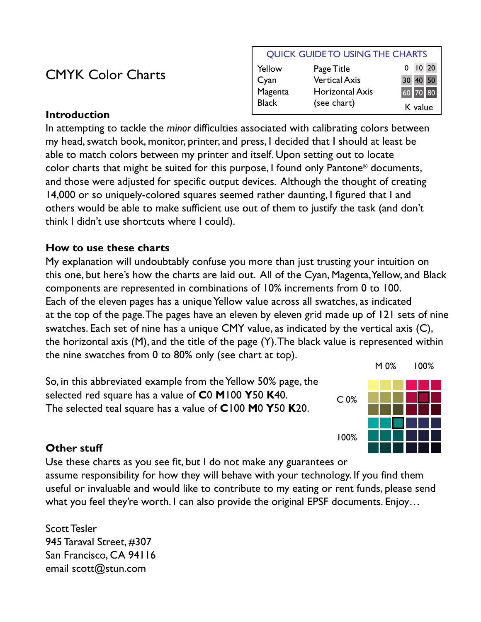## CMYK Color Charts

#### QUICK GUIDE TO USING THE CHARTS

| Yellow       | Page Title             | $0$ $10$ $20$ |
|--------------|------------------------|---------------|
| Cyan         | <b>Vertical Axis</b>   | 30 40 50      |
| Magenta      | <b>Horizontal Axis</b> | 60 70 80      |
| <b>Black</b> | (see chart)            | K value       |

#### **Introduction**

In attempting to tackle the *minor* difficulties associated with calibrating colors between my head, swatch book, monitor, printer, and press, I decided that I should at least be able to match colors between my printer and itself. Upon setting out to locate color charts that might be suited for this purpose, I found only Pantone® documents, and those were adjusted for specific output devices. Although the thought of creating 14,000 or so uniquely-colored squares seemed rather daunting, I figured that I and others would be able to make sufficient use out of them to justify the task (and don't think I didn't use shortcuts where I could).

### **How to use these charts**

My explanation will undoubtably confuse you more than just trusting your intuition on this one, but here's how the charts are laid out. All of the Cyan, Magenta, Yellow, and Black components are represented in combinations of 10% increments from 0 to 100. Each of the eleven pages has a unique Yellow value across all swatches, as indicated at the top of the page. The pages have an eleven by eleven grid made up of 121 sets of nine swatches. Each set of nine has a unique CMY value, as indicated by the vertical axis (C), the horizontal axis (M), and the title of the page (Y). The black value is represented within the nine swatches from 0 to 80% only (see chart at top).

So, in this abbreviated example from the Yellow 50% page, the selected red square has a value of **C**0 **M**100 **Y**50 **K**40. The selected teal square has a value of **C**100 **M**0 **Y**50 **K**20.



### **Other stuff**

Use these charts as you see fit, but I do not make any guarantees or assume responsibility for how they will behave with your technology. If you find them useful or invaluable and would like to contribute to my eating or rent funds, please send what you feel they're worth. I can also provide the original EPSF documents. Enjoy…

Scott Tesler 945 Taraval Street, #307 San Francisco, CA 94116 email scott@stun.com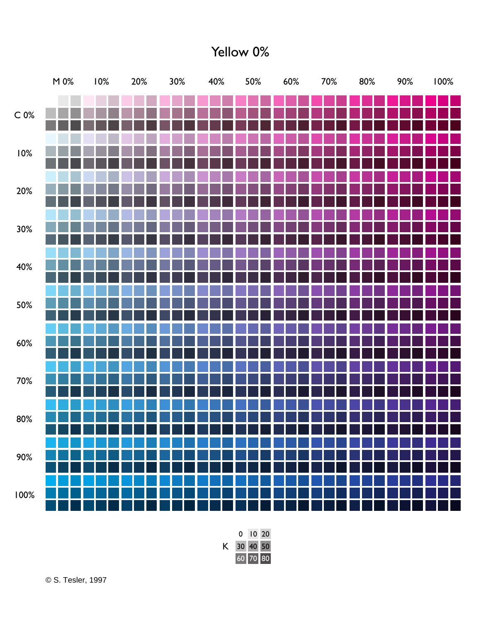### Yellow 0%

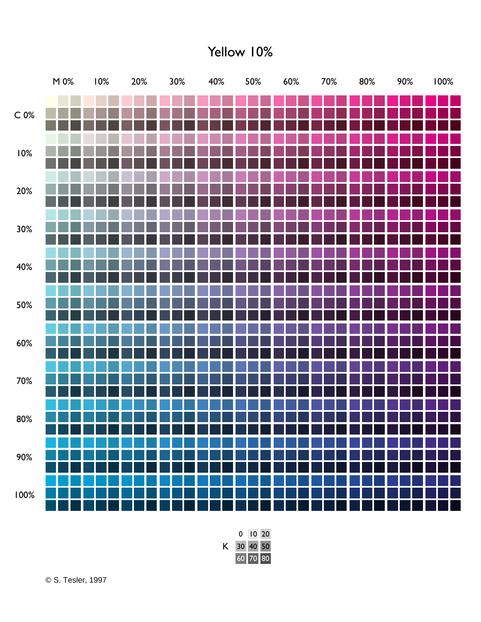## Yellow 10%



© S. Tesler, 1997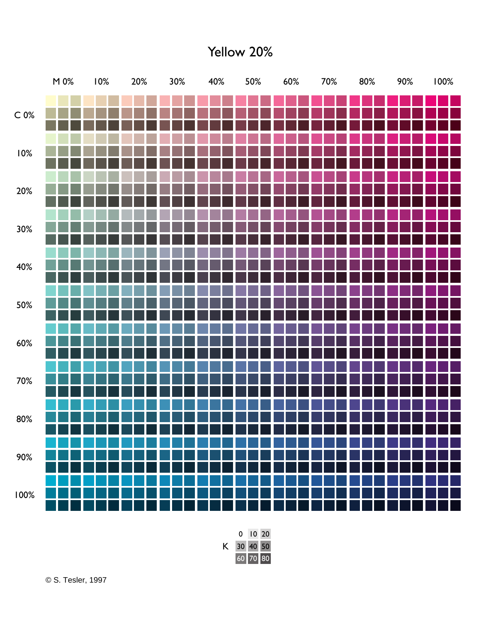Yellow 20%

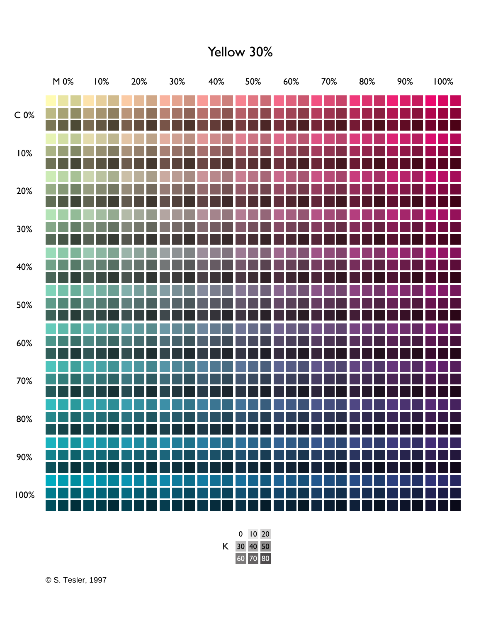Yellow 30%

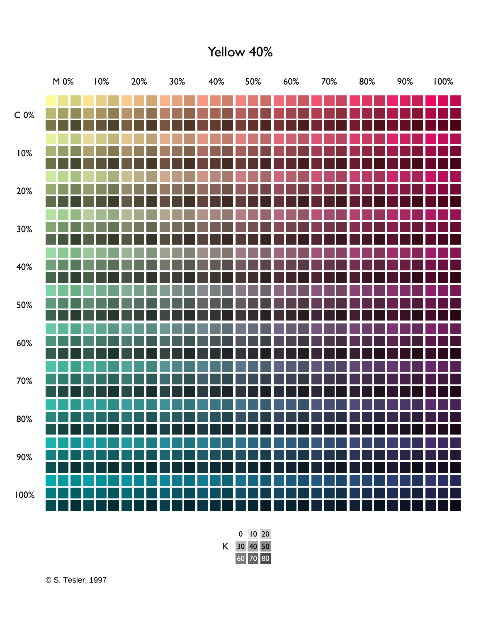Yellow 40%

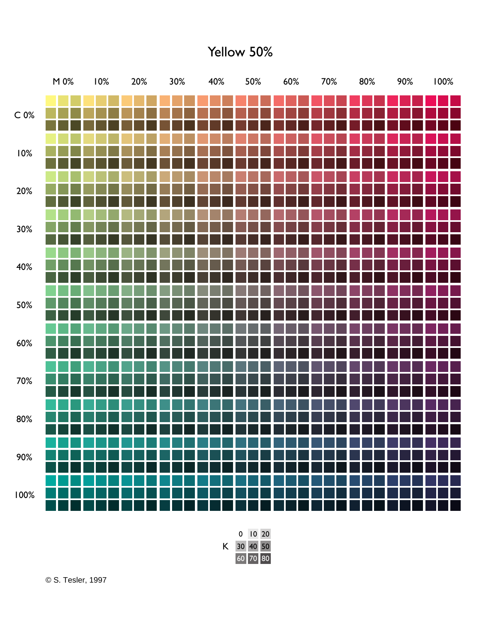Yellow 50%

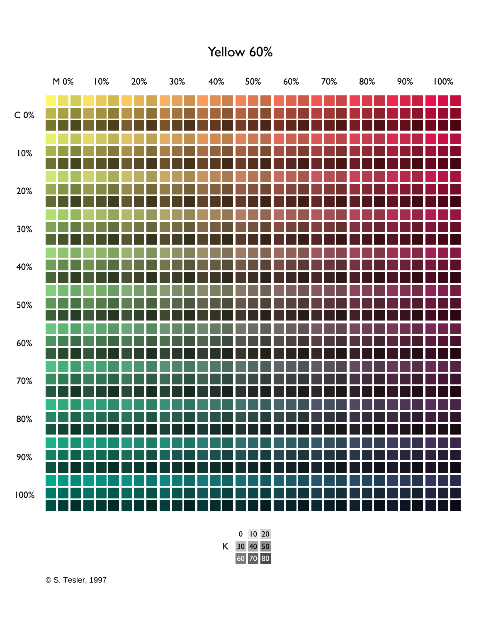Yellow 60%

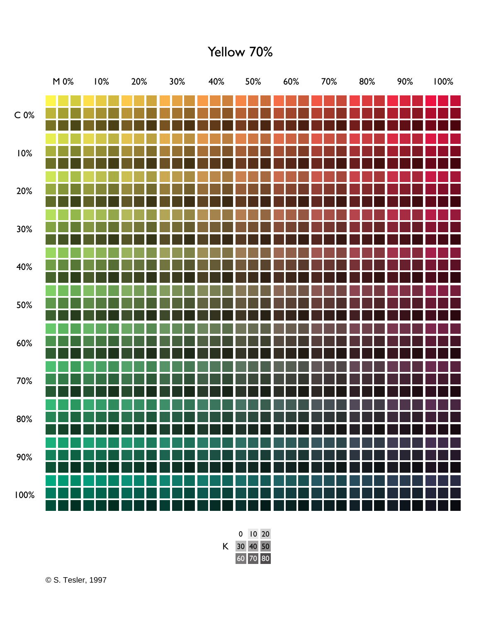Yellow 70%

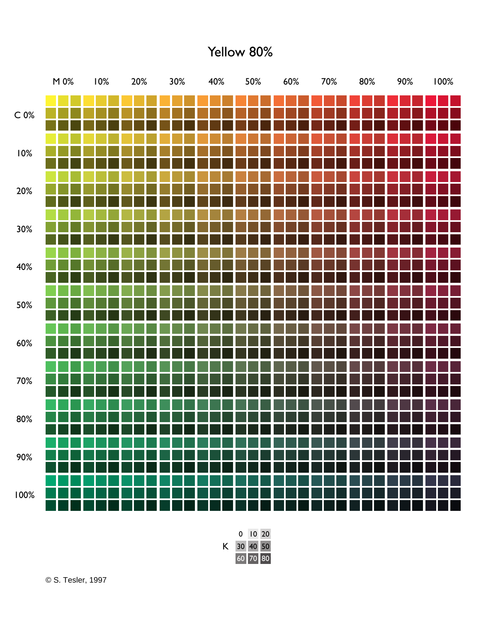Yellow 80%

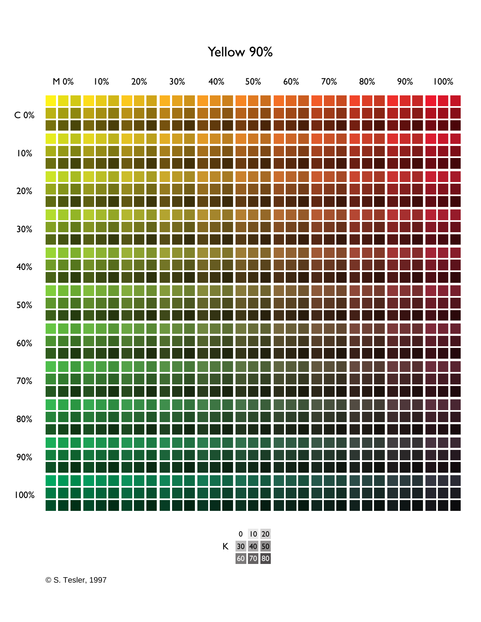Yellow 90%